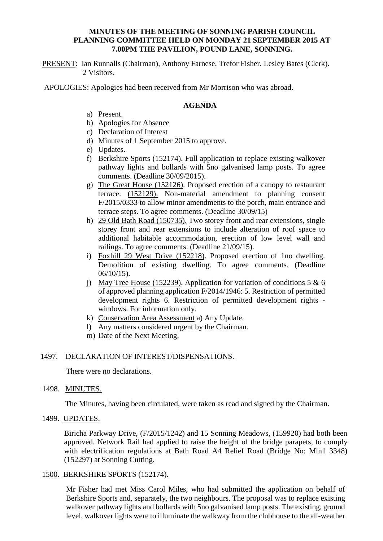## **MINUTES OF THE MEETING OF SONNING PARISH COUNCIL PLANNING COMMITTEE HELD ON MONDAY 21 SEPTEMBER 2015 AT 7.00PM THE PAVILION, POUND LANE, SONNING.**

PRESENT: Ian Runnalls (Chairman), Anthony Farnese, Trefor Fisher. Lesley Bates (Clerk). 2 Visitors.

APOLOGIES: Apologies had been received from Mr Morrison who was abroad.

### **AGENDA**

- a) Present.
- b) Apologies for Absence
- c) Declaration of Interest
- d) Minutes of 1 September 2015 to approve.
- e) Updates.
- f) Berkshire Sports (152174). Full application to replace existing walkover pathway lights and bollards with 5no galvanised lamp posts. To agree comments. (Deadline 30/09/2015).
- g) The Great House (152126). Proposed erection of a canopy to restaurant terrace. (152129). Non-material amendment to planning consent F/2015/0333 to allow minor amendments to the porch, main entrance and terrace steps. To agree comments. (Deadline 30/09/15)
- h) 29 Old Bath Road (150735). Two storey front and rear extensions, single storey front and rear extensions to include alteration of roof space to additional habitable accommodation, erection of low level wall and railings. To agree comments. (Deadline 21/09/15).
- i) Foxhill 29 West Drive (152218). Proposed erection of 1no dwelling. Demolition of existing dwelling. To agree comments. (Deadline 06/10/15).
- j) May Tree House (152239). Application for variation of conditions 5  $\&$  6 of approved planning application F/2014/1946: 5. Restriction of permitted development rights 6. Restriction of permitted development rights windows. For information only.
- k) Conservation Area Assessment a) Any Update.
- l) Any matters considered urgent by the Chairman.
- m) Date of the Next Meeting.

## 1497. DECLARATION OF INTEREST/DISPENSATIONS.

There were no declarations.

#### 1498. MINUTES.

The Minutes, having been circulated, were taken as read and signed by the Chairman.

# 1499. UPDATES.

Biricha Parkway Drive, (F/2015/1242) and 15 Sonning Meadows, (159920) had both been approved. Network Rail had applied to raise the height of the bridge parapets, to comply with electrification regulations at Bath Road A4 Relief Road (Bridge No: Mln1 3348) (152297) at Sonning Cutting.

#### 1500. BERKSHIRE SPORTS (152174).

Mr Fisher had met Miss Carol Miles, who had submitted the application on behalf of Berkshire Sports and, separately, the two neighbours. The proposal was to replace existing walkover pathway lights and bollards with 5no galvanised lamp posts. The existing, ground level, walkover lights were to illuminate the walkway from the clubhouse to the all-weather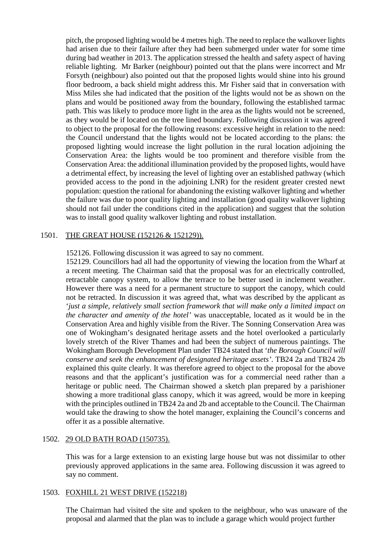pitch, the proposed lighting would be 4 metres high. The need to replace the walkover lights had arisen due to their failure after they had been submerged under water for some time during bad weather in 2013. The application stressed the health and safety aspect of having reliable lighting. Mr Barker (neighbour) pointed out that the plans were incorrect and Mr Forsyth (neighbour) also pointed out that the proposed lights would shine into his ground floor bedroom, a back shield might address this. Mr Fisher said that in conversation with Miss Miles she had indicated that the position of the lights would not be as shown on the plans and would be positioned away from the boundary, following the established tarmac path. This was likely to produce more light in the area as the lights would not be screened, as they would be if located on the tree lined boundary. Following discussion it was agreed to object to the proposal for the following reasons: excessive height in relation to the need: the Council understand that the lights would not be located according to the plans: the proposed lighting would increase the light pollution in the rural location adjoining the Conservation Area: the lights would be too prominent and therefore visible from the Conservation Area: the additional illumination provided by the proposed lights, would have a detrimental effect, by increasing the level of lighting over an established pathway (which provided access to the pond in the adjoining LNR) for the resident greater crested newt population: question the rational for abandoning the existing walkover lighting and whether the failure was due to poor quality lighting and installation (good quality walkover lighting should not fail under the conditions cited in the application) and suggest that the solution was to install good quality walkover lighting and robust installation.

### 1501. THE GREAT HOUSE (152126 & 152129)).

152126. Following discussion it was agreed to say no comment.

152129. Councillors had all had the opportunity of viewing the location from the Wharf at a recent meeting. The Chairman said that the proposal was for an electrically controlled, retractable canopy system, to allow the terrace to be better used in inclement weather. However there was a need for a permanent structure to support the canopy, which could not be retracted. In discussion it was agreed that, what was described by the applicant as '*just a simple, relatively small section framework that will make only a limited impact on the character and amenity of the hotel'* was unacceptable, located as it would be in the Conservation Area and highly visible from the River. The Sonning Conservation Area was one of Wokingham's designated heritage assets and the hotel overlooked a particularly lovely stretch of the River Thames and had been the subject of numerous paintings. The Wokingham Borough Development Plan under TB24 stated that '*the Borough Council will conserve and seek the enhancement of designated heritage assets'*. TB24 2a and TB24 2b explained this quite clearly. It was therefore agreed to object to the proposal for the above reasons and that the applicant's justification was for a commercial need rather than a heritage or public need. The Chairman showed a sketch plan prepared by a parishioner showing a more traditional glass canopy, which it was agreed, would be more in keeping with the principles outlined in TB24 2a and 2b and acceptable to the Council. The Chairman would take the drawing to show the hotel manager, explaining the Council's concerns and offer it as a possible alternative.

## 1502. 29 OLD BATH ROAD (150735).

This was for a large extension to an existing large house but was not dissimilar to other previously approved applications in the same area. Following discussion it was agreed to say no comment.

### 1503. FOXHILL 21 WEST DRIVE (152218)

The Chairman had visited the site and spoken to the neighbour, who was unaware of the proposal and alarmed that the plan was to include a garage which would project further